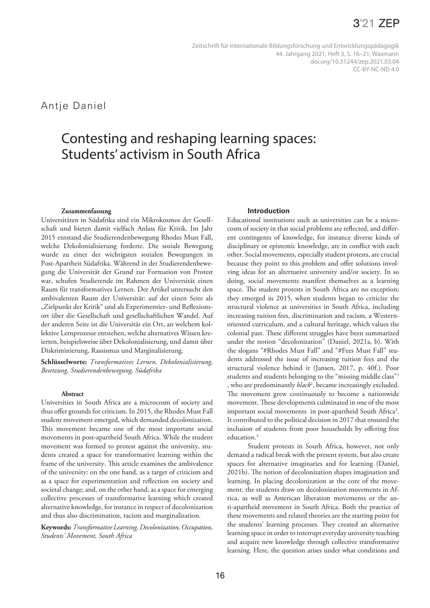Antje Daniel

# Contesting and reshaping learning spaces: Students' activism in South Africa

#### **Zusammenfassung**

Universitäten in Südafrika sind ein Mikrokosmos der Gesellschaft und bieten damit vielfach Anlass für Kritik. Im Jahr 2015 entstand die Studierendenbewegung Rhodes Must Fall, welche Dekolonialisierung forderte. Die soziale Bewegung wurde zu einer der wichtigsten sozialen Bewegungen in Post-Apartheit Südafrika. Während in der Studierendenbewegung die Universität der Grund zur Formation von Protest war, schufen Studierende im Rahmen der Universität einen Raum für transformatives Lernen. Der Artikel untersucht den ambivalenten Raum der Universität: auf der einen Seite als "Zielpunkt der Kritik" und als Experimentier- und Reflexionsort über die Gesellschaft und gesellschaftlichen Wandel. Auf der anderen Seite ist die Universität ein Ort, an welchem kollektive Lernprozesse entstehen, welche alternatives Wissen kreierten, beispielsweise über Dekolonialisierung, und damit über Diskriminierung, Rassismus und Marginalisierung.

**Schlüsselworte:** *Transformatives Lernen, Dekolonialisierung, Besetzung, Studierendenbewegung, Südafrika*

#### **Abstract**

Universities in South Africa are a microcosm of society and thus offer grounds for criticism. In 2015, the Rhodes Must Fall student movement emerged, which demanded decolonization. This movement became one of the most important social movements in post-apartheid South Africa. While the student movement was formed to protest against the university, students created a space for transformative learning within the frame of the university. This article examines the ambivalence of the university: on the one hand, as a target of criticism and as a space for experimentation and reflection on society and societal change; and, on the other hand, as a space for emerging collective processes of transformative learning which created alternative knowledge, for instance in respect of decolonization and thus also discrimination, racism and marginalization.

**Keywords:** *Transformative Learning, Decolonization, Occupation, Students' Movement, South Africa*

#### **Introduction**

Educational institutions such as universities can be a microcosm of society in that social problems are reflected, and different contingents of knowledge, for instance diverse kinds of disciplinary or epistemic knowledge, are in conflict with each other. Social movements, especially student protests, are crucial because they point to this problem and offer solutions involving ideas for an alternative university and/or society. In so doing, social movements manifest themselves as a learning space. The student protests in South Africa are no exception; they emerged in 2015, when students began to criticize the structural violence at universities in South Africa, including increasing tuition fees, discrimination and racism, a Westernoriented curriculum, and a cultural heritage, which values the colonial past. These different struggles have been summarized under the notion "decolonization" (Daniel, 2021a, b). With the slogans "#Rhodes Must Fall" and "#Fees Must Fall" students addressed the issue of increasing tuition fees and the structural violence behind it (Jansen, 2017, p. 40f.). Poor students and students belonging to the "missing middle class"1 , who are predominantly *black*<sup>2</sup> , became increasingly excluded. The movement grew continuously to become a nationwide movement. These developments culminated in one of the most important social movements in post-apartheid South Africa<sup>3</sup>. It contributed to the political decision in 2017 that ensured the inclusion of students from poor households by offering free education.<sup>4</sup>

Student protests in South Africa, however, not only demand a radical break with the present system, but also create spaces for alternative imaginaries and for learning (Daniel, 2021b). The notion of decolonization shapes imagination and learning. In placing decolonization at the core of the movement, the students draw on decolonization movements in Africa, as well as American liberation movements or the anti-apartheid movement in South Africa. Both the practice of these movements and related theories are the starting point for the students' learning processes. They created an alternative learning space in order to interrupt everyday university teaching and acquire new knowledge through collective transformative learning. Here, the question arises under what conditions and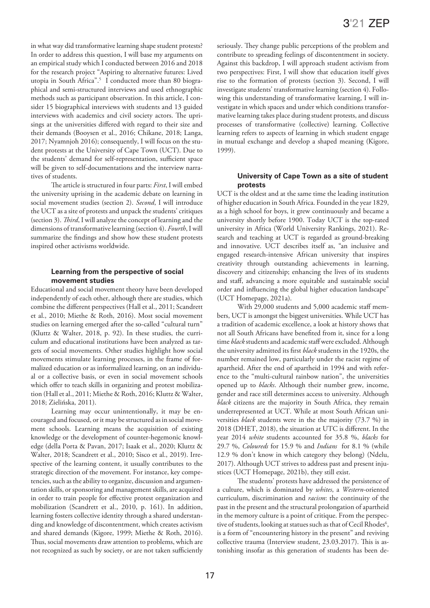in what way did transformative learning shape student protests? In order to address this question, I will base my arguments on an empirical study which I conducted between 2016 and 2018 for the research project "Aspiring to alternative futures: Lived utopia in South Africa".5 I conducted more than 80 biographical and semi-structured interviews and used ethnographic methods such as participant observation. In this article, I consider 15 biographical interviews with students and 13 guided interviews with academics and civil society actors. The uprisings at the universities differed with regard to their size and their demands (Booysen et al., 2016; Chikane, 2018; Langa, 2017; Nyamnjoh 2016); consequently, I will focus on the student protests at the University of Cape Town (UCT). Due to the students' demand for self-representation, sufficient space will be given to self-documentations and the interview narratives of students.

The article is structured in four parts: *First*, I will embed the university uprising in the academic debate on learning in social movement studies (section 2). *Second*, I will introduce the UCT as a site of protests and unpack the students' critiques (section 3). *Third*, I will analyze the concept of learning and the dimensions of transformative learning (section 4). *Fourth*, I will summarize the findings and show how these student protests inspired other activisms worldwide.

#### **Learning from the perspective of social movement studies**

Educational and social movement theory have been developed independently of each other, although there are studies, which combine the different perspectives (Hall et al., 2011; Scandrett et al., 2010; Miethe & Roth, 2016). Most social movement studies on learning emerged after the so-called "cultural turn" (Kluttz & Walter, 2018, p. 92). In these studies, the curriculum and educational institutions have been analyzed as targets of social movements. Other studies highlight how social movements stimulate learning processes, in the frame of formalized education or as informalized learning, on an individual or a collective basis, or even in social movement schools which offer to teach skills in organizing and protest mobilization (Hall et al., 2011; Miethe & Roth, 2016; Kluttz & Walter, 2018; Zielińska, 2011).

Learning may occur unintentionally, it may be encouraged and focused, or it may be structured as in social movement schools. Learning means the acquisition of existing knowledge or the development of counter-hegemonic knowledge (della Porta & Pavan, 2017; Isaak et al., 2020; Kluttz & Walter, 2018; Scandrett et al., 2010; Sisco et al., 2019). Irrespective of the learning content, it usually contributes to the strategic direction of the movement. For instance, key competencies, such as the ability to organize, discussion and argumentation skills, or sponsoring and management skills, are acquired in order to train people for effective protest organization and mobilization (Scandrett et al., 2010, p. 161). In addition, learning fosters collective identity through a shared understanding and knowledge of discontentment, which creates activism and shared demands (Kigore, 1999; Miethe & Roth, 2016). Thus, social movements draw attention to problems, which are not recognized as such by society, or are not taken sufficiently

seriously. They change public perceptions of the problem and contribute to spreading feelings of discontentment in society. Against this backdrop, I will approach student activism from two perspectives: First, I will show that education itself gives rise to the formation of protests (section 3). Second, I will investigate students' transformative learning (section 4). Following this understanding of transformative learning, I will investigate in which spaces and under which conditions transformative learning takes place during student protests, and discuss processes of transformative (collective) learning. Collective learning refers to aspects of learning in which student engage in mutual exchange and develop a shaped meaning (Kigore, 1999).

#### **University of Cape Town as a site of student protests**

UCT is the oldest and at the same time the leading institution of higher education in South Africa. Founded in the year 1829, as a high school for boys, it grew continuously and became a university shortly before 1900. Today UCT is the top-rated university in Africa (World University Rankings, 2021). Research and teaching at UCT is regarded as ground-breaking and innovative. UCT describes itself as, "an inclusive and engaged research-intensive African university that inspires creativity through outstanding achievements in learning, discovery and citizenship; enhancing the lives of its students and staff, advancing a more equitable and sustainable social order and influencing the global higher education landscape" (UCT Homepage, 2021a).

With 29,000 students and 5,000 academic staff members, UCT is amongst the biggest universities. While UCT has a tradition of academic excellence, a look at history shows that not all South Africans have benefited from it, since for a long time *black* students and academic staff were excluded. Although the university admitted its first *black* students in the 1920s, the number remained low, particularly under the racist regime of apartheid. After the end of apartheid in 1994 and with reference to the "multi-cultural rainbow nation", the universities opened up to *blacks*. Although their number grew, income, gender and race still determines access to university. Although *black* citizens are the majority in South Africa, they remain underrepresented at UCT. While at most South African universities *black* students were in the the majority (73.7 %) in 2018 (DHET, 2018), the situation at UTC is different. In the year 2014 *white* students accounted for 35.8 %, *blacks* for 29.7 %, *Coloureds* for 15.9 % and *Indians* for 8.1 % (while 12.9 % don't know in which category they belong) (Ndelu, 2017). Although UCT strives to address past and present injustices (UCT Homepage, 2021b), they still exist.

The students' protests have addressed the persistence of a culture, which is dominated by *whites*, a *Western*-oriented curriculum, discrimination and *racism*: the continuity of the past in the present and the structural prolongation of apartheid in the memory culture is a point of critique. From the perspective of students, looking at statues such as that of Cecil Rhodes<sup>6</sup>, is a form of "encountering history in the present" and reviving collective trauma (Interview student, 23.03.2017). This is astonishing insofar as this generation of students has been de-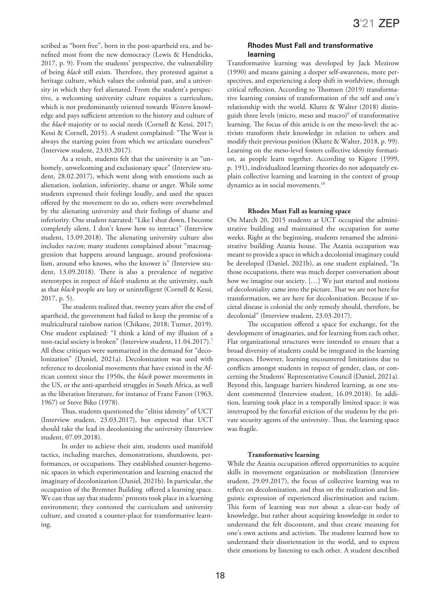scribed as "born free", born in the post-apartheid era, and benefited most from the new democracy (Lewis & Hendricks, 2017, p. 9). From the students' perspective, the vulnerability of being *black* still exists. Therefore, they protested against a heritage culture, which values the colonial past, and a university in which they feel alienated. From the student's perspective, a welcoming university culture requires a curriculum, which is not predominantly oriented towards *Western* knowledge and pays sufficient attention to the history and culture of the *black* majority or to social needs (Cornell & Kessi, 2017; Kessi & Cornell, 2015). A student complained: "The West is always the starting point from which we articulate ourselves" (Interview student, 23.03.2017).

As a result, students felt that the university is an "unhomely, unwelcoming and exclusionary space" (Interview student, 28.02.2017), which went along with emotions such as alienation, isolation, inferiority, shame or anger. While some students expressed their feelings loudly, and used the spaces offered by the movement to do so, others were overwhelmed by the alienating university and their feelings of shame and inferiority. One student narrated: "Like I shut down, I become completely silent, I don't know how to interact" (Interview student, 13.09.2018). The alienating university culture also includes *racism*; many students complained about "macroaggression that happens around language, around professionalism, around who knows, who the knower is" (Interview student, 13.09.2018). There is also a prevalence of negative stereotypes in respect of *black* students at the university, such as that *black* people are lazy or unintelligent (Cornell & Kessi, 2017, p. 5).

The students realized that, twenty years after the end of apartheid, the government had failed to keep the promise of a multicultural rainbow nation (Chikane, 2018; Turner, 2019). One student explained: "I think a kind of my illusion of a non-racial society is broken" (Interview student, 11.04.2017).7 All these critiques were summarized in the demand for "decolonization" (Daniel, 2021a). Decolonization was used with reference to decolonial movements that have existed in the African context since the 1950s, the *black* power movements in the US, or the anti-apartheid struggles in South Africa, as well as the liberation literature, for instance of Franz Fanon (1963, 1967) or Steve Biko (1978).

Thus, students questioned the "elitist identity" of UCT (Interview student, 23.03.2017), but expected that UCT should take the lead in decolonizing the university (Interview student, 07.09.2018).

In order to achieve their aim, students used manifold tactics, including marches, demonstrations, shutdowns, performances, or occupations. They established counter-hegemonic spaces in which experimentation and learning enacted the imaginary of decolonization (Daniel, 2021b). In particular, the occupation of the Bremner Building offered a learning space. We can thus say that students' protests took place in a learning environment; they contested the curriculum and university culture, and created a counter-place for transformative learning.

#### **Rhodes Must Fall and transformative learning**

Transformative learning was developed by Jack Mezirow (1990) and means gaining a deeper self-awareness, more perspectives, and experiencing a deep shift in worldview, through critical reflection. According to Thomsen (2019) transformative learning consists of transformation of the self and one's relationship with the world. Kluttz & Walter (2018) distinguish three levels (micro, meso and macro)9 of transformative learning. The focus of this article is on the meso-level: the activists transform their knowledge in relation to others and modify their previous position (Kluttz & Walter, 2018, p. 99). Learning on the meso-level fosters collective identity formation, as people learn together. According to Kigore (1999, p. 191), individualized learning theories do not adequately explain collective learning and learning in the context of group dynamics as in social movements.<sup>10</sup>

#### **Rhodes Must Fall as learning space**

On March 20, 2015 students at UCT occupied the administrative building and maintained the occupation for some weeks. Right at the beginning, students renamed the administrative building Azania house. The Azania occupation was meant to provide a space in which a decolonial imaginary could be developed (Daniel, 2021b), as one student explained, "In those occupations, there was much deeper conversation about how we imagine our society. […] We just started and notions of decoloniality came into the picture. That we are not here for transformation, we are here for decolonization. Because if societal disease is colonial the only remedy should, therefore, be decolonial" (Interview student, 23.03.2017).

The occupation offered a space for exchange, for the development of imaginaries, and for learning from each other. Flat organizational structures were intended to ensure that a broad diversity of students could be integrated in the learning processes. However, learning encountered limitations due to conflicts amongst students in respect of gender, class, or concerning the Students' Representative Council (Daniel, 2021a). Beyond this, language barriers hindered learning, as one student commented (Interview student, 16.09.2018). In addition, learning took place in a temporally limited space: it was interrupted by the forceful eviction of the students by the private security agents of the university. Thus, the learning space was fragile.

#### **Transformative learning**

While the Azania occupation offered opportunities to acquire skills in movement organization or mobilization (Interview student, 29.09.2017), the focus of collective learning was to reflect on decolonization, and thus on the realization and linguistic expression of experienced discrimination and racism. This form of learning was not about a clear-cut body of knowledge, but rather about acquiring knowledge in order to understand the felt discontent, and thus create meaning for one's own actions and activism. The students learned how to understand their disorientation in the world, and to express their emotions by listening to each other. A student described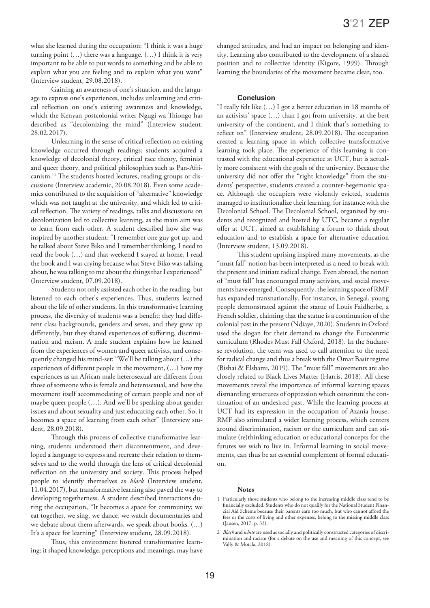what she learned during the occupation: "I think it was a huge turning point  $(...)$  there was a language.  $(...)$  I think it is very important to be able to put words to something and be able to explain what you are feeling and to explain what you want" (Interview student, 29.08.2018).

Gaining an awareness of one's situation, and the language to express one's experiences, includes unlearning and critical reflection on one's existing awareness and knowledge, which the Kenyan postcolonial writer Ngugi wa Thiongo has described as "decolonizing the mind" (Interview student, 28.02.2017).

Unlearning in the sense of critical reflection on existing knowledge occurred through readings: students acquired a knowledge of decolonial theory, critical race theory, feminist and queer theory, and political philosophies such as Pan-Africanism.11 The students hosted lectures, reading groups or discussions (Interview academic, 20.08.2018). Even some academics contributed to the acquisition of "alternative" knowledge which was not taught at the university, and which led to critical reflection. The variety of readings, talks and discussions on decolonization led to collective learning, as the main aim was to learn from each other. A student described how she was inspired by another student: "I remember one guy got up, and he talked about Steve Biko and I remember thinking, I need to read the book (…) and that weekend I stayed at home, I read the book and I was crying because what Steve Biko was talking about, he was talking to me about the things that I experienced" (Interview student, 07.09.2018).

Students not only assisted each other in the reading, but listened to each other's experiences. Thus, students learned about the life of other students. In this transformative learning process, the diversity of students was a benefit: they had different class backgrounds, genders and sexes, and they grew up differently, but they shared experiences of suffering, discrimination and racism. A male student explains how he learned from the experiences of women and queer activists, and consequently changed his mind-set: "We'll be talking about (…) the experiences of different people in the movement, (…) how my experiences as an African male heterosexual are different from those of someone who is female and heterosexual, and how the movement itself accommodating of certain people and not of maybe queer people (…). And we'll be speaking about gender issues and about sexuality and just educating each other. So, it becomes a space of learning from each other" (Interview student, 28.09.2018).

Through this process of collective transformative learning, students understood their discontentment, and developed a language to express and recreate their relation to themselves and to the world through the lens of critical decolonial reflection on the university and society. This process helped people to identify themselves as *black* (Interview student, 11.04.2017), but transformative learning also paved the way to developing togetherness. A student described interactions during the occupation, "It becomes a space for community; we eat together, we sing, we dance, we watch documentaries and we debate about them afterwards, we speak about books. (…) It's a space for learning" (Interview student, 28.09.2018).

Thus, this environment fostered transformative learning: it shaped knowledge, perceptions and meanings, may have changed attitudes, and had an impact on belonging and identity. Learning also contributed to the development of a shared position and to collective identity (Kigore, 1999). Through learning the boundaries of the movement became clear, too.

#### **Conclusion**

"I really felt like (…) I got a better education in 18 months of an activists' space (…) than I got from university, at the best university of the continent, and I think that's something to reflect on" (Interview student, 28.09.2018). The occupation created a learning space in which collective transformative learning took place. The experience of this learning is contrasted with the educational experience at UCT, but is actually more consistent with the goals of the university. Because the university did not offer the "right knowledge" from the students' perspective, students created a counter-hegemonic space. Although the occupiers were violently evicted, students managed to institutionalize their learning, for instance with the Decolonial School. The Decolonial School, organized by students and recognized and hosted by UTC, became a regular offer at UCT, aimed at establishing a forum to think about education and to establish a space for alternative education (Interview student, 13.09.2018).

This student uprising inspired many movements, as the "must fall" notion has been interpreted as a need to break with the present and initiate radical change. Even abroad, the notion of "must fall" has encouraged many activists, and social movements have emerged. Consequently, the learning space of RMF has expanded transnationally. For instance, in Senegal, young people demonstrated against the statue of Louis Faidherbe, a French soldier, claiming that the statue is a continuation of the colonial past in the present (Ndiaye, 2020). Students in Oxford used the slogan for their demand to change the Eurocentric curriculum (Rhodes Must Fall Oxford, 2018). In the Sudanese revolution, the term was used to call attention to the need for radical change and thus a break with the Omar Basir regime (Bishai & Elshami, 2019). The "must fall" movements are also closely related to Black Lives Matter (Harris, 2018). All these movements reveal the importance of informal learning spaces dismantling structures of oppression which constitute the continuation of an undesired past. While the learning process at UCT had its expression in the occupation of Azania house, RMF also stimulated a wider learning process, which centers around discrimination, racism or the curriculum and can stimulate (re)thinking education or educational concepts for the futures we wish to live in. Informal learning in social movements, can thus be an essential complement of formal education.

#### **Notes**

- 1 Particularly those students who belong to the increasing middle class tend to be financially excluded. Students who do not qualify for the National Student Financial Aid Scheme because their parents earn too much, but who cannot afford the fees or the costs of living and other expenses, belong to the missing middle class (Jansen, 2017, p. 33).
- 2 *Black* and *white* are used as socially and politically constructed categories of discrimination and racism (for a debate on the use and meaning of this concept, see Vally & Motala, 2018).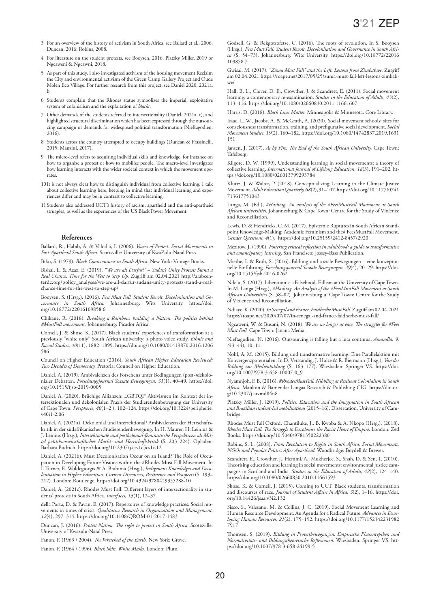- 3 For an overview of the history of activism in South Africa, see Ballard et al., 2006; Duncan, 2016; Robins, 2008.
- 4 For literature on the student protests, see Booysen, 2016, Platzky Miller, 2019 or Ngcaweni & Ngcawni, 2018.
- 5 As part of this study, I also investigated activism of the housing movement Reclaim the City and environmental activism of the Green Camp Gallery Project and Oude Molen Eco Village. For further research from this project, see Daniel 2020, 2021a, b.
- 6 Students complain that the Rhodes statue symbolizes the imperial, exploitative system of colonialism and the exploitation of *blacks*.
- 7 Other demands of the students referred to intersectionality (Daniel, 2021a, c), and highlighted structural discrimination which has been expressed through the outsourcing campaign or demands for widespread political transformation (Nieftagodien, 2016).
- 8 Students across the country attempted to occupy buildings (Duncan & Frassinelli, 2015; Manzini, 2017).
- 9 The micro-level refers to acquiring individual skills and knowledge, for instance on how to organize a protest or how to mobilize people. The macro-level investigates how learning interacts with the wider societal context in which the movement operates.
- 10It is not always clear how to distinguish individual from collective learning. I talk about collective learning here, keeping in mind that individual learning and experiences differ and may be in contrast to collective learning.
- 11Students also addressed UCT's history of racism, apartheid and the anti-apartheid struggles, as well as the experiences of the US Black Power Movement.

#### **References**

Ballard, R., Habib, A. & Valodia, I. (2006). *Voices of Protest. Social Movements in Post-Apartheid South Africa*. Scottsville: University of KwaZulu-Natal Press.

Biko, S. (1979). *Black Consciousness in South Africa.* New York: Vintage Books.

Bishai, L. & Azaz, E. (2019). *"We are all Darfur!" – Sudan's Unity Protests Stand a Real Chance. Time for the West to Step Up.* Zugriff am 02.04.2021 http://arabcen[terdc.org/policy\\_analyses/we-are-all-darfur-sudans-unity-protests-stand-a-real](http://arabcenterdc.org/policy_analyses/we-are-all-darfur-sudans-unity-protests-stand-a-real-chance-time-for-the-west-to-step-up/)chance-time-for-the-west-to-step-up/

Booysen, S. (Hrsg.). (2016). *Fees Must Fall. Student Revolt, Decolonisation and Governance in South Africa.* [Johannesburg: Wits University. https://doi.](https://doi.org/10.18772/22016109858.6) org/10.18772/22016109858.6

Chikane, R. (2018). *Breaking a Rainbow, building a Nation: The politics behind #MustFall movements.* Johannesburg: Picador Africa.

Cornell, J. & Shose, K. (2017). Black students' experiences of transformation at a previously "white only" South African university: a photo voice study. *Ethnic and Racial Studies, 40*[\(11\), 1882–1899. https://doi.org/10.1080/01419870.2016.1206](https://doi.org/10.1080/01419870.2016.1206586) 586

Council on Higher Education (2016). *South African Higher Education Reviewed: Two Decades of Democracy.* Pretoria: Council on Higher Education.

Daniel, A. (2019). Ambivalenzen des Forschens unter Bedingungen (post-)dekolonialer Debatten. *[Forschungsjournal Soziale Bewegungen, 31](https://doi.org/10.1515/fjsb-2019-0005)*(1), 40–49. https://doi. org/10.1515/fjsb-2019-0005

Daniel, A. (2020). Brüchige Allianzen: LGBTQI\* Aktivismen im Kontext der intersektionalen und dekolonialen Praxis der Studierendenbewegung der University of Cape Town. *Peripherie, 40*[\(1–2 \), 102–124. https://doi.org/10.3224/peripherie.](https://doi.org/10.3224/peripherie.v40i1-2.06) v40i1-2.06

Daniel, A. (2021a). Dekolonial und intersektional? Ambivalenzen der Herrschaftskritik in der südafrikanischen Studierendenbewegung. In H. Maurer, H. Leinius & J. Leinius (Hrsg.), *Intersektionale und postkolonial-feministische Perspektiven als Mittel politikwissenschaftlicher Macht- und Herrschaftskritik* (S. 203–224). Opladen: Barbara Budrich. https://doi.org/10.2307/j.ctv1c5cs1c.12

Daniel, A. (2021b). Must Decolonisation Occur on an Island? The Role of Occupation in Developing Future Visions within the #Rhodes Must Fall Movement. In I. Turner, E. Woldegiorgis & A. Brahima (Hrsg.), *Indigenous Knowledges and Decolonisation in Higher Education: Current Discourses, Pertinence and Prospects* (S. 193– 212). London: Routledge. https://doi.org/10.4324/9780429355288-10

Daniel, A. (2021c). Rhodes Must Fall: Different layers of intersectionality in students' protests in South Africa. *Interfaces, 13*(1), 12–37.

della Porta, D. & Pavan, E. (2017). Repertoires of knowledge practices: Social movements in times of crisis. *Qualitative Research in Organizations and Management, 12*(4), 297–314. https://doi.org/10.1108/QROM-01-2017-1483

Duncan, J. (2016). *Protest Nation: The right to protest in South Africa.* Scottsville: University of Kwazulu-Natal Press.

Fanon, F. (1963 / 2004). *The Wretched of the Earth.* New York: Grove.

Fanon, F. (1964 / 1996). *Black Skin, White Masks.* London: Pluto.

Godsell, G. & Rekgotsofetse, C. (2016). The roots of revolution. In S. Booysen (Hrsg.), *Fees Must Fall. Student Revolt, Decolonisation and Governance in South Africa* [\(S. 54–73\). Johannesburg: Wits University. https://doi.org/10.18772/22016](https://doi.org/10.18772/22016109858.7)  109858.7

Gwisai, M. (2017). *"Zuma Must Fall" and the Left: Lessons from Zimbabwe.* Zugriff [am 02.04.2021 https://roape.net/2017/05/25/zuma-must-fall-left-lessons-zimbab](https://roape.net/2017/05/25/zuma-must-fall-left-lessons-zimbabwe/)we/

Hall, B. L., Clover, D. E., Crowther, J. & Scandrett, E. (2011). Social movement learning: a contemporary re-examination. *Studies in the Education of Adults, 43*(2), 113–116. https://doi.org/10.1080/02660830.2011.11661607

Harris, D. (2018). *Black Lives Matter.* Minneapolis & Minnesota: Core Library.

Isaac, L. W., Jacobs, A. & McGrath, A. (2020). Social movement schools: sites for consciousness transformation, training, and prefigurative social development. *Social Movement Studies, 19*[\(2\), 160–182. https://doi.org/10.1080/14742837.2019.1631](https://doi.org/10.1080/14742837.2019.1631151) 151

Jansen, J. (2017). *As by Fire. The End of the South African University.* Cape Town: Tafelberg.

Kilgore, D. W. (1999). Understanding learning in social movements: a theory of collective learning. *International Journal of Lifelong Education, 18*(3), 191–202. https://doi.org/10.1080/026013799293784

Kluttz, J. & Walter, P. (2018). Conceptualizing Learning in the Climate Justice Movement. *Adult Education Quarterly, 68*[\(2\), 91–107. https://doi.org/10.1177/0741](https://doi.org/10.1177/0741713617751043)  713617751043

Langa, M. (Ed.), *#Hashtag. An analysis of the #FeesMustFall Movement at South African universities.* Johannesburg & Cape Town: Centre for the Study of Violence and Reconciliation.

Lewis, D. & Hendricks, C. M. (2017). Epistemic Ruptures in South African Standpoint Knowledge-Making: Academic Feminism and the# FeesMustFall Movement. *Gender Questions, 4*(1), https://doi.org/10.25159/2412-8457/2920

Mezirow, J. (1990). *Fostering critical reflection in adulthood: a guide to transformative and emancipatory learning.* San Francisco: Jossey-Bass Publication.

Miethe, I. & Roth, S. (2016). Bildung und soziale Bewegungen – eine konzeptionelle Einführung. *[Forschungsjournal Soziale Bewegungen, 29](https://doi.org/10.1515/fjsb-2016-0262)*(4), 20–29. https://doi. org/10.1515/fjsb-2016-0262

Ndelu, S. (2017). Liberation is a Falsehood. Fallism at the University of Cape Town. In M. Langa (Hrsg.), *#Hashtag. An Analysis of the #FeesMustFall Movement at South African Universities* (S. 58–82). Johannesburg u. Cape Town: Centre for the Study of Violence and Reconciliation.

Ndiaye, K. (2020). *In Senegal and France, Faidherbe Must Fall.* Zugriff am 02.04.2021 https://roape.net/2020/07/07/in-senegal-and-france-faidherbe-must-fall/

Ngcaweni, W. & Busani, N. (2018). *We are no longer at ease. The struggles for #Fees Must Fall.* Cape Town: Janana Media.

Nieftagodien, N. (2016). Outsourcing is falling but a luta continua. *Amandla, 9, (*43–44), 10–11.

Nohl, A. M. (2015). Bildung und transformative learning: Eine Parallelaktion mit Konvergenzpotentialen. In D. Verständig, J. Holze & R. Biermann (Hrsg.), *Von der Bildung zur Medienbildung* [\(S. 163–177\). Wiesbaden: Springer VS. https://doi.](https://doi.org/10.1007/978-3-658-10007-0_9) org/10.1007/978-3-658-10007-0\_9

Nyamnjoh, F. B. (2016). *#RhodesMustFall. Nibbling at Resilient Colonialism in South Africa.* Mankon & Bamenda: Langaa Research & Publishing CIG. https://doi.org/10.2307/j.ctvmd84n8

Platzky Miller, J. (2019). *Politics, Education and the Imagination in South African and Brazilian student-led mobilisations* (2015–16). Dissertation, University of Cambridge.

Rhodes Must Fall Oxford. Chantiluke, J., B. Kwoba & A. Nkopo (Hrsg.). (2018). *Rhodes Must Fall. The Struggle to Decolonise the Racist Heart of Empire.* London: Zed Books. https://doi.org/10.5040/9781350222380

Robins, S. L. (2008). *From Revolution to Rights in South Africa: Social Movements, NGOs and Popular Politics After Apartheid.* Woodbridge: Boydell & Brewer.

Scandrett, E., Crowther, J., Hemmi, A., Mukherjee, S., Shah, D. & Sen, T. (2010). Theorising education and learning in social movements: environmental justice campaigns in Scotland and India. *Studies in the Education of Adults, 42*(2), 124–140. https://doi.org/10.1080/02660830.2010.11661593

Shose, K. & Cornell, J. (2015). Coming to UCT. Black students, transformation and discourses of race. *[Journal of Student Affairs in Africa, 3](https://doi.org/10.14426/jsaa.v3i2.132)*(2), 1–16. https://doi. org/10.14426/jsaa.v3i2.132

Sisco, S., Valesano, M. & Collins, J. C. (2019). Social Movement Learning and Human Resource Development: An Agenda for a Radical Future. *Advances in Developing Human Resources, 21*[\(2\), 175–192. https://doi.org/10.1177/152342231982](https://doi.org/10.1177/1523422319827917)   $7917$ 

Thomsen, S. (2019). *Bildung in Protestbewegungen: Empirische Phasentypiken und Normativitäts- und Bildungstheoretische Reflexionen.* Wiesbaden: Springer VS. https://doi.org/10.1007/978-3-658-24199-5